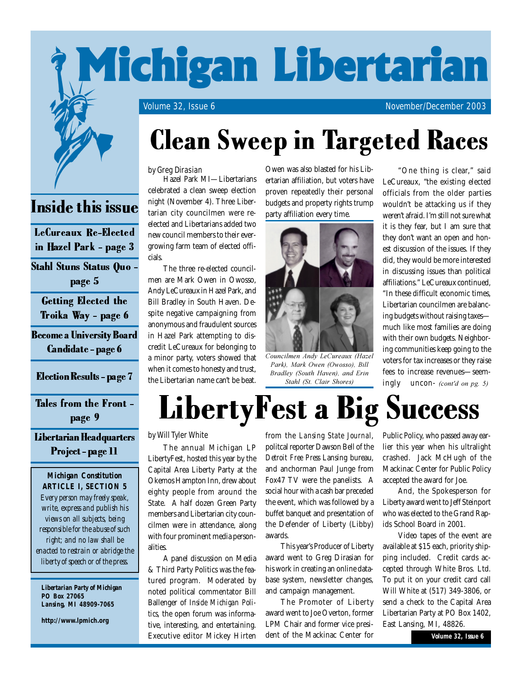

#### by Greg Dirasian

Hazel Park MI—Libertarians celebrated a clean sweep election night (November 4). Three Libertarian city councilmen were reelected and Libertarians added two new council members to their evergrowing farm team of elected officials.

The three re-elected councilmen are Mark Owen in Owosso, Andy LeCureaux in Hazel Park, and Bill Bradley in South Haven. Despite negative campaigning from anonymous and fraudulent sources in Hazel Park attempting to discredit LeCureaux for belonging to a minor party, voters showed that when it comes to honesty and trust, the Libertarian name can't be beat.

Owen was also blasted for his Libertarian affiliation, but voters have proven repeatedly their personal budgets and property rights trump party affiliation every time.



Councilmen Andy LeCureaux (Hazel *Park), Mark Owen (Owosso), Bill Bradley (South Haven), and Erin Stahl (St. Clair Shores)* **Election Results - page 7** the Libertarian name can't be beat. *Bradley (South Haven), and Erin* lees to the Libertarian name can't be beat. *Stahl (St. Clair Shores)* ingly

LibertyFest a Big Success

"One thing is clear," said LeCureaux, "the existing elected officials from the older parties wouldn't be attacking us if they weren't afraid. I'm still not sure what it is they fear, but I am sure that they don't want an open and honest discussion of the issues. If they did, they would be more interested in discussing issues than political affiliations." LeCureaux continued, "In these difficult economic times, Libertarian councilmen are balancing budgets without raising taxes much like most families are doing with their own budgets. Neighboring communities keep going to the voters for tax increases or they raise fees to increase revenues—seemingly uncon- *(cont'd on pg.* 

## Inside this issue

LeCureaux Re-Elected in Hazel Park - page 3

Stahl Stuns Status Quo page 5

Getting Elected the Troika Way - page 6

Become a University Board Candidate - page 6

#### Tales from the Front page 9

Libertarian Headquarters Project - page 11

#### *Michigan Constitution ARTICLE I, SECTION 5 Every person may freely speak, write, express and publish his views on all subjects, being responsible for the abuse of such right; and no law shall be enacted to restrain or abridge the liberty of speech or of the press.*

*Libertarian Party of Michigan PO Box 27065 Lansing, MI 48909-7065*

**http://www.lpmich.org**

#### by Will Tyler White

The annual Michigan LP LibertyFest, hosted this year by the Capital Area Liberty Party at the Okemos Hampton Inn, drew about eighty people from around the State. A half dozen Green Party members and Libertarian city councilmen were in attendance, along with four prominent media personalities.

A panel discussion on Media & Third Party Politics was the featured program. Moderated by noted political commentator Bill Ballenger of *Inside Michigan Politics*, the open forum was informative, interesting, and entertaining. Executive editor Mickey Hirten

from the *Lansing State Journal*, politcal reporter Dawson Bell of the *Detroit Free Press* Lansing bureau, and anchorman Paul Junge from Fox47 TV were the panelists. A social hour with a cash bar preceded the event, which was followed by a buffet banquet and presentation of the Defender of Liberty (Libby) awards.

This year's Producer of Liberty award went to Greg Dirasian for his work in creating an online database system, newsletter changes, and campaign management.

The Promoter of Liberty award went to Joe Overton, former LPM Chair and former vice president of the Mackinac Center for

Public Policy, who passed away earlier this year when his ultralight crashed. Jack McHugh of the Mackinac Center for Public Policy accepted the award for Joe.

And, the Spokesperson for Liberty award went to Jeff Steinport who was elected to the Grand Rapids School Board in 2001.

Video tapes of the event are available at \$15 each, priority shipping included. Credit cards accepted through White Bros. Ltd. To put it on your credit card call Will White at (517) 349-3806, or send a check to the Capital Area Libertarian Party at PO Box 1402, East Lansing, MI, 48826.

*Volume 32, Issue 6*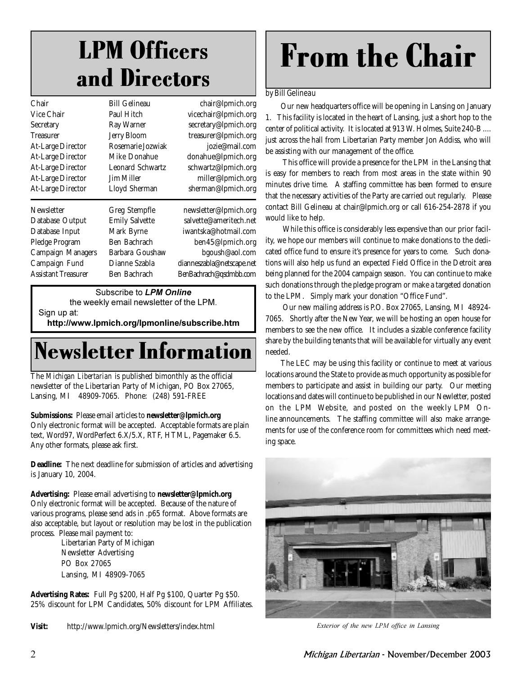### LPM Officers and Directors

| Chair                    | <b>Bill Gelineau</b>  | chair@lpmich.org          |
|--------------------------|-----------------------|---------------------------|
| Vice Chair               | Paul Hitch            | vicechair@lpmich.org      |
| Secretary                | Ray Warner            | secretary@lpmich.org      |
| <b>Treasurer</b>         | <b>Jerry Bloom</b>    | treasurer@lpmich.org      |
| <b>At-Large Director</b> | Rosemarie Jozwiak     | jozie@mail.com            |
| <b>At-Large Director</b> | Mike Donahue          | donahue@lpmich.org        |
| <b>At-Large Director</b> | Leonard Schwartz      | schwartz@lpmich.org       |
| <b>At-Large Director</b> | <b>Jim Miller</b>     | miller@lpmich.org         |
| <b>At-Large Director</b> | Lloyd Sherman         | sherman@lpmich.org        |
| Newsletter               | Greg Stempfle         | newsletter@lpmich.org     |
| Database Output          | <b>Emily Salvette</b> | salvette@ameritech.net    |
| Database Input           | Mark Byrne            | iwantska@hotmail.com      |
| Pledge Program           | Ben Bachrach          | ben45@lpmich.org          |
| <b>Campaign Managers</b> | Barbara Goushaw       | bgoush@aol.com            |
| Campaign Fund            | Dianne Szabla         | dianneszabla@netscape.net |
| Assistant Treasurer      | Ben Bachrach          | BenBachrach@qsdmbb.com    |
|                          |                       |                           |

Subscribe to **LPM Online** 

the weekly email newsletter of the LPM. Sign up at:

http://www.lpmich.org/lpmonline/subscribe.htm

### Newsletter Information

The *Michigan Libertarian* is published bimonthly as the official newsletter of the Libertarian Party of Michigan, PO Box 27065, Lansing, MI 48909-7065. Phone: (248) 591-FREE

#### **Submissions:** Please email articles to **newsletter@lpmich.org**

Only electronic format will be accepted. Acceptable formats are plain text, Word97, WordPerfect 6.X/5.X, RTF, HTML, Pagemaker 6.5. Any other formats, please ask first.

**Deadline:** The next deadline for submission of articles and advertising is January 10, 2004.

**Advertising:** Please email advertising to **newsletter@lpmich.org** Only electronic format will be accepted. Because of the nature of various programs, please send ads in .p65 format. Above formats are also acceptable, but layout or resolution may be lost in the publication process. Please mail payment to:

> Libertarian Party of Michigan Newsletter Advertising PO Box 27065 Lansing, MI 48909-7065

**Advertising Rates:** Full Pg \$200, Half Pg \$100, Quarter Pg \$50. 25% discount for LPM Candidates, 50% discount for LPM Affiliates.

**Visit:** http://www.lpmich.org/Newsletters/index.html

# From the Chair

#### by Bill Gelineau

Our new headquarters office will be opening in Lansing on January 1. This facility is located in the heart of Lansing, just a short hop to the center of political activity. It is located at 913 W. Holmes, Suite 240-B .... just across the hall from Libertarian Party member Jon Addiss, who will be assisting with our management of the office.

 This office will provide a presence for the LPM in the Lansing that is easy for members to reach from most areas in the state within 90 minutes drive time. A staffing committee has been formed to ensure that the necessary activities of the Party are carried out regularly. Please contact Bill Gelineau at chair@lpmich.org or call 616-254-2878 if you would like to help.

 While this office is considerably less expensive than our prior facility, we hope our members will continue to make donations to the dedicated office fund to ensure it's presence for years to come. Such donations will also help us fund an expected Field Office in the Detroit area being planned for the 2004 campaign season. You can continue to make such donations through the pledge program or make a targeted donation to the LPM. Simply mark your donation "Office Fund".

 Our new mailing address is P.O. Box 27065, Lansing, MI 48924- 7065. Shortly after the New Year, we will be hosting an open house for members to see the new office. It includes a sizable conference facility share by the building tenants that will be available for virtually any event needed.

The LEC may be using this facility or continue to meet at various locations around the State to provide as much opportunity as possible for members to participate and assist in building our party. Our meeting locations and dates will continue to be published in our Newletter, posted on the LPM Website, and posted on the weekly LPM Online announcements. The staffing committee will also make arrangements for use of the conference room for committees which need meeting space.



*Exterior of the new LPM office in Lansing*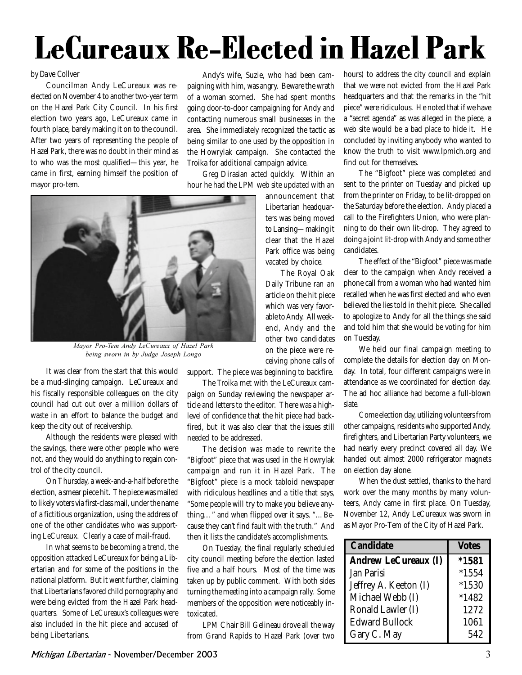# LeCureaux Re-Elected in Hazel Park

#### by Dave Collver

Councilman Andy LeCureaux was reelected on November 4 to another two-year term on the Hazel Park City Council. In his first election two years ago, LeCureaux came in fourth place, barely making it on to the council. After two years of representing the people of Hazel Park, there was no doubt in their mind as to who was the most qualified—this year, he came in first, earning himself the position of mayor pro-tem.

Andy's wife, Suzie, who had been campaigning with him, was angry. Beware the wrath of a woman scorned. She had spent months going door-to-door campaigning for Andy and contacting numerous small businesses in the area. She immediately recognized the tactic as being similar to one used by the opposition in the Howrylak campaign. She contacted the Troika for additional campaign advice.

Greg Dirasian acted quickly. Within an hour he had the LPM web site updated with an



*Mayor Pro-Tem Andy LeCureaux of Hazel Park*  $\frac{1}{2}$  *by Judge Joseph Longo* 

It was clear from the start that this would be a mud-slinging campaign. LeCureaux and his fiscally responsible colleagues on the city council had cut out over a million dollars of waste in an effort to balance the budget and keep the city out of receivership.

Although the residents were pleased with the savings, there were other people who were not, and they would do anything to regain control of the city council.

On Thursday, a week-and-a-half before the election, a smear piece hit. The piece was mailed to likely voters via first-class mail, under the name of a fictitious organization, using the address of one of the other candidates who was supporting LeCureaux. Clearly a case of mail-fraud.

In what seems to be becoming a trend, the opposition attacked LeCureaux for being a Libertarian and for some of the positions in the national platform. But it went further, claiming that Libertarians favored child pornography and were being evicted from the Hazel Park headquarters. Some of LeCureaux's colleagues were also included in the hit piece and accused of being Libertarians.

announcement that Libertarian headquarters was being moved to Lansing—making it clear that the Hazel Park office was being vacated by choice.

The Royal Oak Daily Tribune ran an article on the hit piece which was very favorable to Andy. All weekend, Andy and the other two candidates on the piece were receiving phone calls of

support. The piece was beginning to backfire.

The Troika met with the LeCureaux campaign on Sunday reviewing the newspaper article and letters to the editor. There was a highlevel of confidence that the hit piece had backfired, but it was also clear that the issues still needed to be addressed.

The decision was made to rewrite the "Bigfoot" piece that was used in the Howrylak campaign and run it in Hazel Park. The "Bigfoot" piece is a mock tabloid newspaper with ridiculous headlines and a title that says, "Some people will try to make you believe anything…" and when flipped over it says, "…Because they can't find fault with the truth." And then it lists the candidate's accomplishments.

On Tuesday, the final regularly scheduled city council meeting before the election lasted five and a half hours. Most of the time was taken up by public comment. With both sides turning the meeting into a campaign rally. Some members of the opposition were noticeably intoxicated.

LPM Chair Bill Gelineau drove all the way from Grand Rapids to Hazel Park (over two hours) to address the city council and explain that we were not evicted from the Hazel Park headquarters and that the remarks in the "hit piece" were ridiculous. He noted that if we have a "secret agenda" as was alleged in the piece, a web site would be a bad place to hide it. He concluded by inviting anybody who wanted to know the truth to visit www.lpmich.org and find out for themselves.

The "Bigfoot" piece was completed and sent to the printer on Tuesday and picked up from the printer on Friday, to be lit-dropped on the Saturday before the election. Andy placed a call to the Firefighters Union, who were planning to do their own lit-drop. They agreed to doing a joint lit-drop with Andy and some other candidates.

The effect of the "Bigfoot" piece was made clear to the campaign when Andy received a phone call from a woman who had wanted him recalled when he was first elected and who even believed the lies told in the hit piece. She called to apologize to Andy for all the things she said and told him that she would be voting for him on Tuesday.

We held our final campaign meeting to complete the details for election day on Monday. In total, four different campaigns were in attendance as we coordinated for election day. The ad hoc alliance had become a full-blown slate.

Come election day, utilizing volunteers from other campaigns, residents who supported Andy, firefighters, and Libertarian Party volunteers, we had nearly every precinct covered all day. We handed out almost 2000 refrigerator magnets on election day alone.

When the dust settled, thanks to the hard work over the many months by many volunteers, Andy came in first place. On Tuesday, November 12, Andy LeCureaux was sworn in as Mayor Pro-Tem of the City of Hazel Park.

| <b>Candidate</b>            | <b>Votes</b> |
|-----------------------------|--------------|
| <b>Andrew LeCureaux (I)</b> | $*1581$      |
| Jan Parisi                  | $*1554$      |
| Jeffrey A. Keeton (I)       | $*1530$      |
| Michael Webb (I)            | $*1482$      |
| Ronald Lawler (I)           | 1272         |
| <b>Edward Bullock</b>       | 1061         |
| Gary C. May                 | 542          |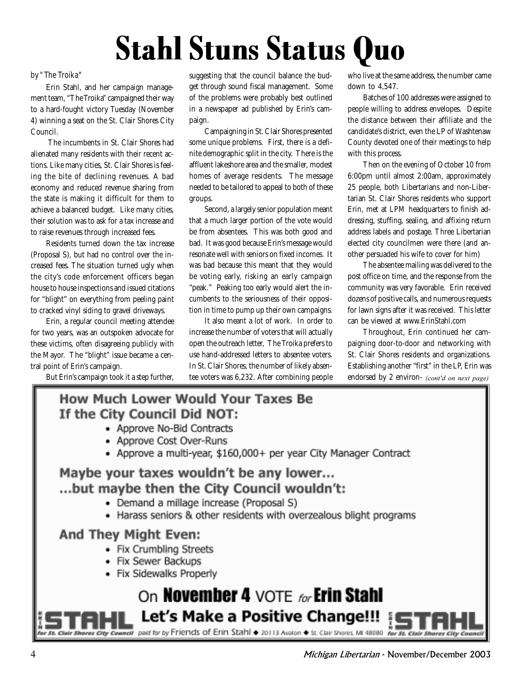# Stahl Stuns Status Quo

#### by "The Troika"

Erin Stahl, and her campaign management team, "The Troika" campaigned their way to a hard-fought victory Tuesday (November 4) winning a seat on the St. Clair Shores City Council.

 The incumbents in St. Clair Shores had alienated many residents with their recent actions. Like many cities, St. Clair Shores is feeling the bite of declining revenues. A bad economy and reduced revenue sharing from the state is making it difficult for them to achieve a balanced budget. Like many cities, their solution was to ask for a tax increase and to raise revenues through increased fees.

Residents turned down the tax increase (Proposal S), but had no control over the increased fees. The situation turned ugly when the city's code enforcement officers began house to house inspections and issued citations for "blight" on everything from peeling paint to cracked vinyl siding to gravel driveways.

Erin, a regular council meeting attendee for two years, was an outspoken advocate for these victims, often disagreeing publicly with the Mayor. The "blight" issue became a central point of Erin's campaign.

But Erin's campaign took it a step further,

suggesting that the council balance the budget through sound fiscal management. Some of the problems were probably best outlined in a newspaper ad published by Erin's campaign.

Campaigning in St. Clair Shores presented some unique problems. First, there is a definite demographic split in the city. There is the affluent lakeshore area and the smaller, modest homes of average residents. The message needed to be tailored to appeal to both of these groups.

Second, a largely senior population meant that a much larger portion of the vote would be from absentees. This was both good and bad. It was good because Erin's message would resonate well with seniors on fixed incomes. It was bad because this meant that they would be voting early, risking an early campaign "peak." Peaking too early would alert the incumbents to the seriousness of their opposition in time to pump up their own campaigns.

It also meant a lot of work. In order to increase the number of voters that will actually open the outreach letter, The Troika prefers to use hand-addressed letters to absentee voters. In St. Clair Shores, the number of likely absentee voters was 6,232. After combining people who live at the same address, the number came down to 4,547.

Batches of 100 addresses were assigned to people willing to address envelopes. Despite the distance between their affiliate and the candidate's district, even the LP of Washtenaw County devoted one of their meetings to help with this process.

Then on the evening of October 10 from 6:00pm until almost 2:00am, approximately 25 people, both Libertarians and non-Libertarian St. Clair Shores residents who support Erin, met at LPM headquarters to finish addressing, stuffing, sealing, and affixing return address labels and postage. Three Libertarian elected city councilmen were there (and another persuaded his wife to cover for him)

The absentee mailing was delivered to the post office on time, and the response from the community was very favorable. Erin received dozens of positive calls, and numerous requests for lawn signs after it was received. This letter can be viewed at www.ErinStahl.com

Throughout, Erin continued her campaigning door-to-door and networking with St. Clair Shores residents and organizations. Establishing another "first" in the LP, Erin was endorsed by 2 environ- *(cont'd on next page)* 

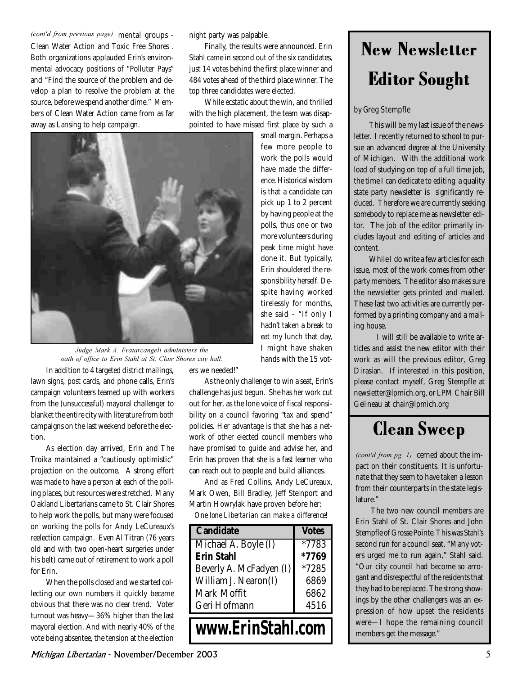(cont'd from previous page) mental groups -Clean Water Action and Toxic Free Shores . Both organizations applauded Erin's environmental advocacy positions of "Polluter Pays" and "Find the source of the problem and develop a plan to resolve the problem at the source, before we spend another dime." Members of Clean Water Action came from as far away as Lansing to help campaign.

night party was palpable.

Finally, the results were announced. Erin Stahl came in second out of the six candidates, just 14 votes behind the first place winner and 484 votes ahead of the third place winner. The top three candidates were elected.

While ecstatic about the win, and thrilled with the high placement, the team was disappointed to have missed first place by such a



*Judge Mark A. Fratarcangeli administers the cath of office to Erin Stahl at St. Clair Shores city hall.* 

In addition to 4 targeted district mailings, lawn signs, post cards, and phone calls, Erin's campaign volunteers teamed up with workers from the (unsuccessful) mayoral challenger to blanket the entire city with literature from both campaigns on the last weekend before the election.

As election day arrived, Erin and The Troika maintained a "cautiously optimistic" projection on the outcome. A strong effort was made to have a person at each of the polling places, but resources were stretched. Many Oakland Libertarians came to St. Clair Shores to help work the polls, but many were focused on working the polls for Andy LeCureaux's reelection campaign. Even Al Titran (76 years old and with two open-heart surgeries under his belt) came out of retirement to work a poll for Erin.

When the polls closed and we started collecting our own numbers it quickly became obvious that there was no clear trend. Voter turnout was heavy—36% higher than the last mayoral election. And with nearly 40% of the vote being absentee, the tension at the election

small margin. Perhaps a few more people to work the polls would have made the difference. Historical wisdom is that a candidate can pick up 1 to 2 percent by having people at the polls, thus one or two more volunteers during peak time might have done it. But typically, Erin shouldered the responsibility herself. Despite having worked tirelessly for months, she said - "If only I hadn't taken a break to eat my lunch that day, I might have shaken hands with the 15 vot-

ers we needed!"

As the only challenger to win a seat, Erin's challenge has just begun. She has her work cut out for her, as the lone voice of fiscal responsibility on a council favoring "tax and spend" policies. Her advantage is that she has a network of other elected council members who have promised to guide and advise her, and Erin has proven that she is a fast learner who can reach out to people and build alliances.

And as Fred Collins, Andy LeCureaux, Mark Owen, Bill Bradley, Jeff Steinport and Martin Howrylak have proven before her:

*One lone Libertarian can make a difference!*

| <b>Candidate</b>        | <b>Votes</b> |
|-------------------------|--------------|
| Michael A. Boyle (I)    | *7783        |
| <b>Erin Stahl</b>       | *7769        |
| Beverly A. McFadyen (I) | *7285        |
| William J. Nearon(I)    | 6869         |
| Mark Moffit             | 6862         |
| Geri Hofmann            | 4516         |
| www.ErinStahl.com       |              |

### New Newsletter Editor Sought

#### by Greg Stempfle

This will be my last issue of the newsletter. I recently returned to school to pursue an advanced degree at the University of Michigan. With the additional work load of studying on top of a full time job, the time I can dedicate to editing a quality state party newsletter is significantly reduced. Therefore we are currently seeking somebody to replace me as newsletter editor. The job of the editor primarily includes layout and editing of articles and content.

While I do write a few articles for each issue, most of the work comes from other party members. The editor also makes sure the newsletter gets printed and mailed. These last two activities are currently performed by a printing company and a mailing house.

 I will still be available to write articles and assist the new editor with their work as will the previous editor, Greg Dirasian. If interested in this position, please contact myself, Greg Stempfle at newsletter@lpmich.org, or LPM Chair Bill Gelineau at chair@lpmich.org

### Clean Sweep

(*cont'd from pg. 1*) cerned about the impact on their constituents. It is unfortunate that they seem to have taken a lesson from their counterparts in the state legislature."

The two new council members are Erin Stahl of St. Clair Shores and John Stempfle of Grosse Pointe. This was Stahl's second run for a council seat. "Many voters urged me to run again," Stahl said. "Our city council had become so arrogant and disrespectful of the residents that they had to be replaced. The strong showings by the other challengers was an expression of how upset the residents were—I hope the remaining council members get the message."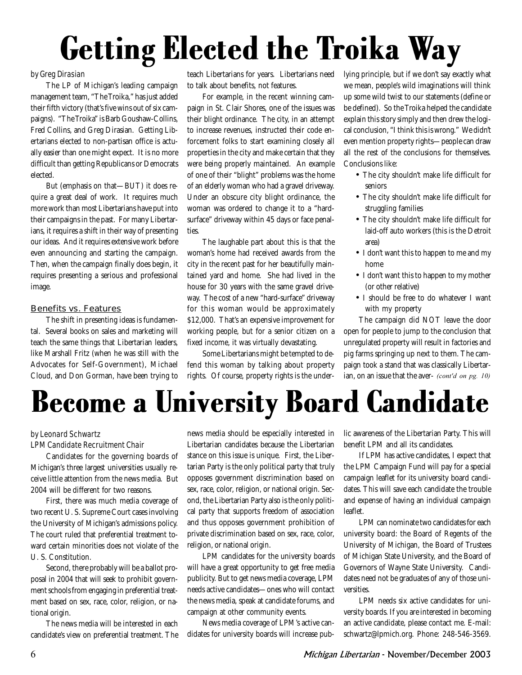# Getting Elected the Troika Way

#### by Greg Dirasian

The LP of Michigan's leading campaign management team, "The Troika," has just added their fifth victory (that's five wins out of six campaigns). "The Troika" is Barb Goushaw-Collins, Fred Collins, and Greg Dirasian. Getting Libertarians elected to non-partisan office is actually easier than one might expect. It is no more difficult than getting Republicans or Democrats elected.

But (emphasis on that—BUT) it does require a great deal of work. It requires much more work than most Libertarians have put into their campaigns in the past. For many Libertarians, it requires a shift in their way of presenting our ideas. And it requires extensive work before even announcing and starting the campaign. Then, when the campaign finally does begin, it requires presenting a serious and professional image.

#### Benefits vs. Features

The shift in presenting ideas is fundamental. Several books on sales and marketing will teach the same things that Libertarian leaders, like Marshall Fritz (when he was still with the Advocates for Self-Government), Michael Cloud, and Don Gorman, have been trying to

teach Libertarians for years. Libertarians need to talk about benefits, not features.

For example, in the recent winning campaign in St. Clair Shores, one of the issues was their blight ordinance. The city, in an attempt to increase revenues, instructed their code enforcement folks to start examining closely all properties in the city and make certain that they were being properly maintained. An example of one of their "blight" problems was the home of an elderly woman who had a gravel driveway. Under an obscure city blight ordinance, the woman was ordered to change it to a "hardsurface" driveway within 45 days or face penalties.

The laughable part about this is that the woman's home had received awards from the city in the recent past for her beautifully maintained yard and home. She had lived in the house for 30 years with the same gravel driveway. The cost of a new "hard-surface" driveway for this woman would be approximately \$12,000. That's an expensive improvement for working people, but for a senior citizen on a fixed income, it was virtually devastating.

Some Libertarians might be tempted to defend this woman by talking about property rights. Of course, property rights is the underlying principle, but if we don't say exactly what we mean, people's wild imaginations will think up some wild twist to our statements (define or be defined). So the Troika helped the candidate explain this story simply and then drew the logical conclusion, "I think this is wrong." We didn't even mention property rights—people can draw all the rest of the conclusions for themselves. Conclusions like:

- The city shouldn't make life difficult for seniors
- The city shouldn't make life difficult for struggling families
- The city shouldn't make life difficult for laid-off auto workers (this is the Detroit area)
- I don't want this to happen to me and my home
- I don't want this to happen to my mother (or other relative)
- I should be free to do whatever I want with my property

The campaign did NOT leave the door open for people to jump to the conclusion that unregulated property will result in factories and pig farms springing up next to them. The campaign took a stand that was classically Libertar- $\limsup$ , on an issue that the aver- *(cont'd on pg. 10)* 



#### by Leonard Schwartz LPM Candidate Recruitment Chair

Candidates for the governing boards of Michigan's three largest universities usually receive little attention from the news media. But 2004 will be different for two reasons.

First, there was much media coverage of two recent U. S. Supreme Court cases involving the University of Michigan's admissions policy. The court ruled that preferential treatment toward certain minorities does not violate of the U. S. Constitution.

Second, there probably will be a ballot proposal in 2004 that will seek to prohibit government schools from engaging in preferential treatment based on sex, race, color, religion, or national origin.

The news media will be interested in each candidate's view on preferential treatment. The

news media should be especially interested in Libertarian candidates because the Libertarian stance on this issue is unique. First, the Libertarian Party is the only political party that truly opposes government discrimination based on sex, race, color, religion, or national origin. Second, the Libertarian Party also is the only political party that supports freedom of association and thus opposes government prohibition of private discrimination based on sex, race, color, religion, or national origin.

LPM candidates for the university boards will have a great opportunity to get free media publicity. But to get news media coverage, LPM needs active candidates—ones who will contact the news media, speak at candidate forums, and campaign at other community events.

News media coverage of LPM's active candidates for university boards will increase public awareness of the Libertarian Party. This will benefit LPM and all its candidates.

If LPM has active candidates, I expect that the LPM Campaign Fund will pay for a special campaign leaflet for its university board candidates. This will save each candidate the trouble and expense of having an individual campaign leaflet.

LPM can nominate two candidates for each university board: the Board of Regents of the University of Michigan, the Board of Trustees of Michigan State University, and the Board of Governors of Wayne State University. Candidates need not be graduates of any of those universities.

LPM needs six active candidates for university boards. If you are interested in becoming an active candidate, please contact me. E-mail: schwartz@lpmich.org. Phone: 248-546-3569.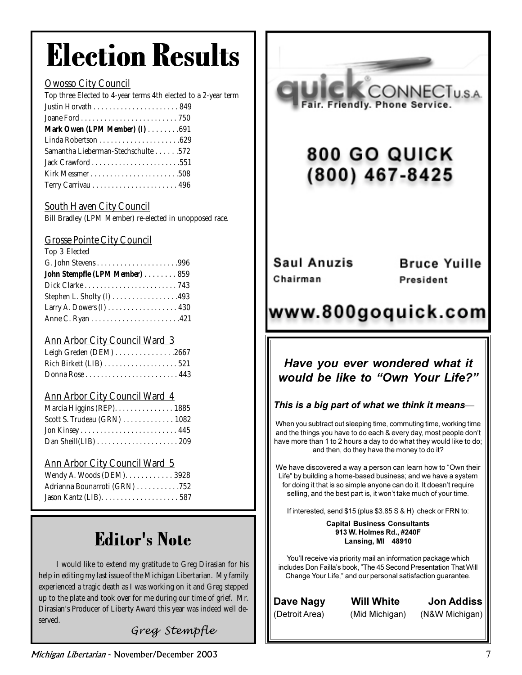## Election Results

#### Owosso City Council

| Top three Elected to 4-year terms 4th elected to a 2-year term |
|----------------------------------------------------------------|
|                                                                |
|                                                                |
| Mark Owen $(LPM Member)$ (I) 691                               |
|                                                                |
| Samantha Lieberman-Stechschulte 572                            |
|                                                                |
|                                                                |
|                                                                |
|                                                                |

#### South Haven City Council

Bill Bradley (LPM Member) re-elected in unopposed race.

#### Grosse Pointe City Council

| Top 3 Elected                 |  |
|-------------------------------|--|
|                               |  |
| John Stempfle (LPM Member)859 |  |
|                               |  |
| Stephen L. Sholty $(I)$ 493   |  |
| Larry A. Dowers (I) 430       |  |
|                               |  |

#### Ann Arbor City Council Ward 3

| Leigh Greden (DEM) 2667 |  |
|-------------------------|--|
|                         |  |
|                         |  |

#### Ann Arbor City Council Ward 4

| Marcia Higgins (REP). 1885    |  |
|-------------------------------|--|
| Scott S. Trudeau $(GRN)$ 1082 |  |
|                               |  |
|                               |  |

#### Ann Arbor City Council Ward 5

| Wendy A. Woods (DEM). 3928    |  |
|-------------------------------|--|
| Adrianna Bounarroti (GRN) 752 |  |
|                               |  |

### Editor's Note

 I would like to extend my gratitude to Greg Dirasian for his help in editing my last issue of the Michigan Libertarian. My family experienced a tragic death as I was working on it and Greg stepped up to the plate and took over for me during our time of grief. Mr. Dirasian's Producer of Liberty Award this year was indeed well deserved.

#### *Greg Stempfle*



### 800 GO QUICK (800) 467-8425

Saul Anuzis Chairman

**Bruce Yuille** President

### www.800goquick.com

#### Have vou ever wondered what it would be like to "Own Your Life?"

#### This is a big part of what we think it means-

When you subtract out sleeping time, commuting time, working time and the things you have to do each & every day, most people don't have more than 1 to 2 hours a day to do what they would like to do; and then, do they have the money to do it?

We have discovered a way a person can learn how to "Own their Life" by building a home-based business; and we have a system for doing it that is so simple anyone can do it. It doesn't require selling, and the best part is, it won't take much of your time.

If interested, send  $$15$  (plus  $$3.85$  S & H) check or FRN to:

#### Capital Business Consultants 913 W. Holmes Rd., #240F Lansing, MI 48910

You'll receive via priority mail an information package which includes Don Failla's book, "The 45 Second Presentation That Will Change Your Life," and our personal satisfaction guarantee.

Dave Nagy Wi (Detroit

#### **Will White** (Mid Michigan) (N&W Michigan)

te Jon Addiss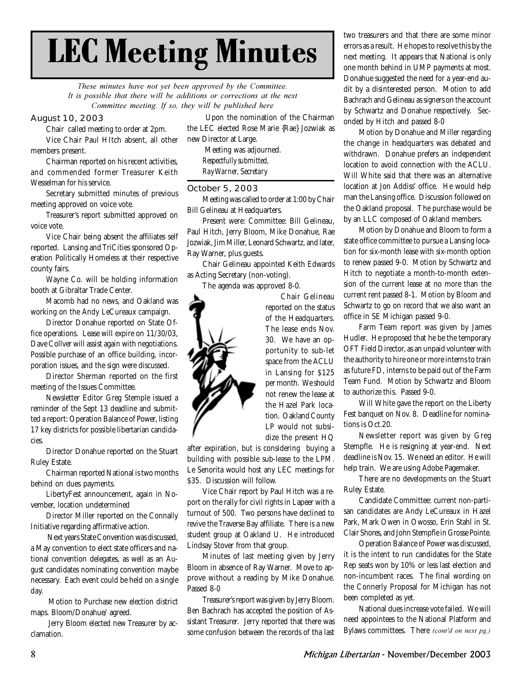## LEC Meeting Minutes

These minutes have not yet been approved by the Committee. It is possible that there will be additions or corrections at the next *Committee meeting. If so, they will be published here* 

#### August 10, 2003

Chair called meeting to order at 2pm. Vice Chair Paul HItch absent, all other members present.

Chairman reported on his recent activities, and commended former Treasurer Keith Wesselman for his service.

Secretary submitted minutes of previous meeting approved on voice vote.

Treasurer's report submitted approved on voice vote.

Vice Chair being absent the affiliates self reported. Lansing and TriCities sponsored Operation Politically Homeless at their respective county fairs.

Wayne Co. will be holding information booth at Gibraltar Trade Center.

Macomb had no news, and Oakland was working on the Andy LeCureaux campaign.

Director Donahue reported on State Office operations. Lease will expire on 11/30/03, Dave Collver will assist again with negotiations. Possible purchase of an office building, incorporation issues, and the sign were discussed.

Director Sherman reported on the first meeting of the Issues Committee.

Newsletter Editor Greg Stemple issued a reminder of the Sept 13 deadline and submitted a report: Operation Balance of Power, listing 17 key districts for possible libertarian candidacies.

Director Donahue reported on the Stuart Ruley Estate.

Chairman reported National is two months behind on dues payments.

LibertyFest announcement, again in November, location undetermined

Director Miller reported on the Connally Initiative regarding affirmative action.

 Next years State Convention was discussed, a May convention to elect state officers and national convention delegates, as well as an August candidates nominating convention maybe necessary. Each event could be held on a single day.

 Motion to Purchase new election district maps. Bloom/Donahue/ agreed.

 Jerry Bloom elected new Treasurer by acclamation.

 Upon the nomination of the Chairman the LEC elected Rose Marie {Rae} Jozwiak as new Director at Large.

 Meeting was adjourned. *Respectfully submitted, Ray Warner, Secretary*

#### October 5, 2003

Meeting was called to order at 1:00 by Chair Bill Gelineau at Headquarters.

Present were: Committee: Bill Gelineau, Paul Hitch, Jerry Bloom, Mike Donahue, Rae Jozwiak, Jim Miller, Leonard Schwartz, and later, Ray Warner, plus guests.

Chair Gelineau appointed Keith Edwards as Acting Secretary (non-voting).

The agenda was approved 8-0.



Chair Gelineau reported on the status of the Headquarters. The lease ends Nov. 30. We have an opportunity to sub-let space from the ACLU in Lansing for \$125 per month. We should not renew the lease at the Hazel Park location. Oakland County LP would not subsidize the present HQ

after expiration, but is considering buying a building with possible sub-lease to the LPM. Le Senorita would host any LEC meetings for \$35. Discussion will follow.

Vice Chair report by Paul Hitch was a report on the rally for civil rights in Lapeer with a turnout of 500. Two persons have declined to revive the Traverse Bay affiliate. There is a new student group at Oakland U. He introduced Lindsay Stover from that group.

Minutes of last meeting given by Jerry Bloom in absence of Ray Warner. Move to approve without a reading by Mike Donahue. Passed 8-0

Treasurer's report was given by Jerry Bloom. Ben Bachrach has accepted the position of Assistant Treasurer. Jerry reported that there was some confusion between the records of tha last

two treasurers and that there are some minor errors as a result. He hopes to resolve this by the next meeting. It appears that National is only one month behind in UMP payments at most. Donahue suggested the need for a year-end audit by a disinterested person. Motion to add Bachrach and Gelineau as signers on the account by Schwartz and Donahue respectively. Seconded by Hitch and passed 8-0

Motion by Donahue and Miller regarding the change in headquarters was debated and withdrawn. Donahue prefers an independent location to avoid connection with the ACLU. Will White said that there was an alternative location at Jon Addiss' office. He would help man the Lansing office. Discussion followed on the Oakland proposal. The purchase would be by an LLC composed of Oakland members.

Motion by Donahue and Bloom to form a state office committee to pursue a Lansing location for six-month lease with six-month option to renew passed 9-0. Motion by Schwartz and Hitch to negotiate a month-to-month extension of the current lease at no more than the current rent passed 8-1. Motion by Bloom and Schwartz to go on record that we also want an office in SE Michigan passed 9-0.

Farm Team report was given by James Hudler. He proposed that he be the temporary OFT Field Director, as an unpaid volunteer with the authority to hire one or more interns to train as future FD, interns to be paid out of the Farm Team Fund. Motion by Schwartz and Bloom to authorize this. Passed 9-0.

Will White gave the report on the Liberty Fest banquet on Nov. 8. Deadline for nominations is Oct.20.

Newsletter report was given by Greg Stempfle. He is resigning at year-end. Next deadline is Nov. 15. We need an editor. He will help train. We are using Adobe Pagemaker.

There are no developments on the Stuart Ruley Estate.

Candidate Committee: current non-partisan candidates are Andy LeCureaux in Hazel Park, Mark Owen in Owosso, Erin Stahl in St. Clair Shores, and John Stempfle in Grosse Pointe.

Operation Balance of Power was discussed, it is the intent to run candidates for the State Rep seats won by 10% or less last election and non-incumbent races. The final wording on the Connerly Proposal for Michigan has not been completed as yet.

National dues increase vote failed. We will need appointees to the National Platform and Bylaws committees. There *(cont'd on next pg.)*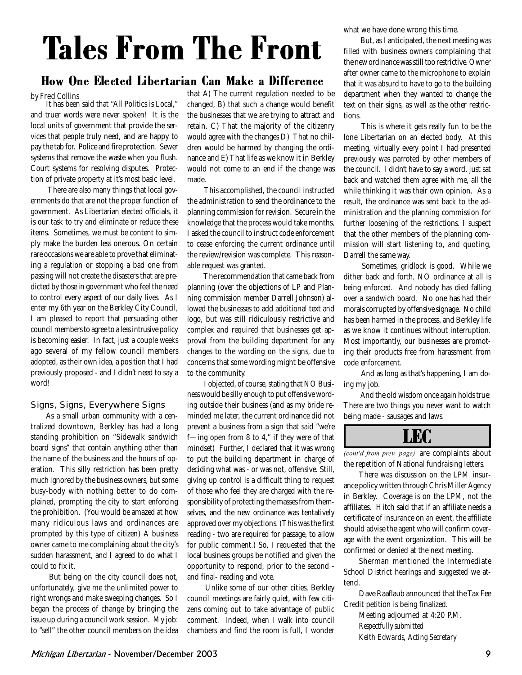## Tales From The Front

#### How One Elected Libertarian Can Make a Difference

#### by Fred Collins

It has been said that "All Politics is Local," and truer words were never spoken! It is the local units of government that provide the services that people truly need, and are happy to pay the tab for. Police and fire protection. Sewer systems that remove the waste when you flush. Court systems for resolving disputes. Protection of private property at it's most basic level.

 There are also many things that local governments do that are not the proper function of government. As Libertarian elected officials, it is our task to try and eliminate or reduce these items. Sometimes, we must be content to simply make the burden less onerous. On certain rare occasions we are able to prove that eliminating a regulation or stopping a bad one from passing will not create the disasters that are predicted by those in government who feel the need to control every aspect of our daily lives. As I enter my 6th year on the Berkley City Council, I am pleased to report that persuading other council members to agree to a less intrusive policy is becoming easier. In fact, just a couple weeks ago several of my fellow council members adopted, as their own idea, a position that I had previously proposed - and I didn't need to say a word!

#### Signs, Signs, Everywhere Signs

As a small urban community with a centralized downtown, Berkley has had a long standing prohibition on "Sidewalk sandwich board signs" that contain anything other than the name of the business and the hours of operation. This silly restriction has been pretty much ignored by the business owners, but some busy-body with nothing better to do complained, prompting the city to start enforcing the prohibition. (You would be amazed at how many ridiculous laws and ordinances are prompted by this type of citizen) A business owner came to me complaining about the city's sudden harassment, and I agreed to do what I could to fix it.

 But being on the city council does not, unfortunately, give me the unlimited power to right wrongs and make sweeping changes. So I began the process of change by bringing the issue up during a council work session. My job: to "sell" the other council members on the idea that A) The current regulation needed to be changed, B) that such a change would benefit the businesses that we are trying to attract and retain. C) That the majority of the citizenry would agree with the changes D) That no children would be harmed by changing the ordinance and E) That life as we know it in Berkley would not come to an end if the change was made.

 This accomplished, the council instructed the administration to send the ordinance to the planning commission for revision. Secure in the knowledge that the process would take months, I asked the council to instruct code enforcement to cease enforcing the current ordinance until the review/revision was complete. This reasonable request was granted.

 The recommendation that came back from planning (over the objections of LP and Planning commission member Darrell Johnson) allowed the businesses to add additional text and logo, but was still ridiculously restrictive and complex and required that businesses get approval from the building department for any changes to the wording on the signs, due to concerns that some wording might be offensive to the community.

 I objected, of course, stating that NO Business would be silly enough to put offensive wording outside their business (and as my bride reminded me later, the current ordinance did not prevent a business from a sign that said "we're f—ing open from 8 to 4," if they were of that mindset) Further, I declared that it was wrong to put the building department in charge of deciding what was - or was not, offensive. Still, giving up control is a difficult thing to request of those who feel they are charged with the responsibility of protecting the masses from themselves, and the new ordinance was tentatively approved over my objections. (This was the first reading - two are required for passage, to allow for public comment.) So, I requested that the local business groups be notified and given the opportunity to respond, prior to the second and final- reading and vote.

 Unlike some of our other cities, Berkley council meetings are fairly quiet, with few citizens coming out to take advantage of public comment. Indeed, when I walk into council chambers and find the room is full, I wonder what we have done wrong this time.

 But, as I anticipated, the next meeting was filled with business owners complaining that the new ordinance was still too restrictive. Owner after owner came to the microphone to explain that it was absurd to have to go to the building department when they wanted to change the text on their signs, as well as the other restrictions.

 This is where it gets really fun to be the lone Libertarian on an elected body. At this meeting, virtually every point I had presented previously was parroted by other members of the council. I didn't have to say a word, just sat back and watched them agree with me, all the while thinking it was their own opinion. As a result, the ordinance was sent back to the administration and the planning commission for further loosening of the restrictions. I suspect that the other members of the planning commission will start listening to, and quoting, Darrell the same way.

 Sometimes, gridlock is good. While we dither back and forth, NO ordinance at all is being enforced. And nobody has died falling over a sandwich board. No one has had their morals corrupted by offensive signage. No child has been harmed in the process, and Berkley life as we know it continues without interruption. Most importantly, our businesses are promoting their products free from harassment from code enforcement.

 And as long as that's happening, I am doing my job.

 And the old wisdom once again holds true: There are two things you never want to watch being made - sausages and laws.



*(cont'd from prev. page)* are complaints about the repetition of National fundraising letters.

There was discussion on the LPM insurance policy written through Chris Miller Agency in Berkley. Coverage is on the LPM, not the affiliates. Hitch said that if an affiliate needs a certificate of insurance on an event, the affiliate should advise the agent who will confirm coverage with the event organization. This will be confirmed or denied at the next meeting.

Sherman mentioned the Intermediate School District hearings and suggested we attend.

Dave Raaflaub announced that the Tax Fee Credit petition is being finalized.

Meeting adjourned at 4:20 P.M. *Respectfully submitted Keith Edwards, Acting Secretary*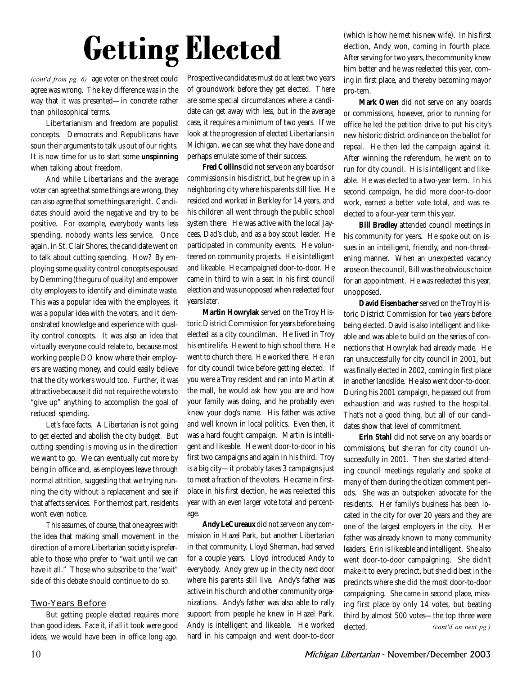# Getting Elected

*(cont'd from pg. 6)* age voter on the street could agree was wrong. The key difference was in the way that it was presented—in concrete rather than philosophical terms.

Libertarianism and freedom are populist concepts. Democrats and Republicans have spun their arguments to talk us out of our rights. It is now time for us to start some **unspinning** when talking about freedom.

And while Libertarians and the average voter can agree that some things are wrong, they can also agree that some things are right. Candidates should avoid the negative and try to be positive. For example, everybody wants less spending, nobody wants less service. Once again, in St. Clair Shores, the candidate went on to talk about cutting spending. How? By employing some quality control concepts espoused by Demming (the guru of quality) and empower city employees to identify and eliminate waste. This was a popular idea with the employees, it was a popular idea with the voters, and it demonstrated knowledge and experience with quality control concepts. It was also an idea that virtually everyone could relate to, because most working people DO know where their employers are wasting money, and could easily believe that the city workers would too. Further, it was attractive because it did not require the voters to "give up" anything to accomplish the goal of reduced spending.

Let's face facts. A Libertarian is not going to get elected and abolish the city budget. But cutting spending is moving us in the direction we want to go. We can eventually cut more by being in office and, as employees leave through normal attrition, suggesting that we trying running the city without a replacement and see if that affects services. For the most part, residents won't even notice.

This assumes, of course, that one agrees with the idea that making small movement in the direction of a more Libertarian society is preferable to those who prefer to "wait until we can have it all." Those who subscribe to the "wait" side of this debate should continue to do so.

#### Two-Years Before

But getting people elected requires more than good ideas. Face it, if all it took were good ideas, we would have been in office long ago.

Prospective candidates must do at least two years of groundwork before they get elected. There are some special circumstances where a candidate can get away with less, but in the average case, it requires a minimum of two years. If we look at the progression of elected Libertarians in Michigan, we can see what they have done and perhaps emulate some of their success.

**Fred Collins** did not serve on any boards or commissions in his district, but he grew up in a neighboring city where his parents still live. He resided and worked in Berkley for 14 years, and his children all went through the public school system there. He was active with the local Jaycees, Dad's club, and as a boy scout leader. He participated in community events. He volunteered on community projects. He is intelligent and likeable. He campaigned door-to-door. He came in third to win a seat in his first council election and was unopposed when reelected four years later.

**Martin Howrylak** served on the Troy Historic District Commission for years before being elected as a city councilman. He lived in Troy his entire life. He went to high school there. He went to church there. He worked there. He ran for city council twice before getting elected. If you were a Troy resident and ran into Martin at the mall, he would ask how you are and how your family was doing, and he probably even knew your dog's name. His father was active and well known in local politics. Even then, it was a hard fought campaign. Martin is intelligent and likeable. He went door-to-door in his first two campaigns and again in his third. Troy is a big city—it probably takes 3 campaigns just to meet a fraction of the voters. He came in firstplace in his first election, he was reelected this year with an even larger vote total and percentage.

**Andy LeCureaux** did not serve on any commission in Hazel Park, but another Libertarian in that community, Lloyd Sherman, had served for a couple years. Lloyd introduced Andy to everybody. Andy grew up in the city next door where his parents still live. Andy's father was active in his church and other community organizations. Andy's father was also able to rally support from people he knew in Hazel Park. Andy is intelligent and likeable. He worked hard in his campaign and went door-to-door

(which is how he met his new wife). In his first election, Andy won, coming in fourth place. After serving for two years, the community knew him better and he was reelected this year, coming in first place, and thereby becoming mayor pro-tem.

**Mark Owen** did not serve on any boards or commissions, however, prior to running for office he led the petition drive to put his city's new historic district ordinance on the ballot for repeal. He then led the campaign against it. After winning the referendum, he went on to run for city council. His is intelligent and likeable. He was elected to a two-year term. In his second campaign, he did more door-to-door work, earned a better vote total, and was reelected to a four-year term this year.

**Bill Bradley** attended council meetings in his community for years. He spoke out on issues in an intelligent, friendly, and non-threatening manner. When an unexpected vacancy arose on the council, Bill was the obvious choice for an appointment. He was reelected this year, unopposed.

**David Eisenbacher** served on the Troy Historic District Commission for two years before being elected. David is also intelligent and likeable and was able to build on the series of connections that Howrylak had already made. He ran unsuccessfully for city council in 2001, but was finally elected in 2002, coming in first place in another landslide. He also went door-to-door. During his 2001 campaign, he passed out from exhaustion and was rushed to the hospital. That's not a good thing, but all of our candidates show that level of commitment.

**Erin Stahl** did not serve on any boards or commissions, but she ran for city council unsuccessfully in 2001. Then she started attending council meetings regularly and spoke at many of them during the citizen comment periods. She was an outspoken advocate for the residents. Her family's business has been located in the city for over 20 years and they are one of the largest employers in the city. Her father was already known to many community leaders. Erin is likeable and intelligent. She also went door-to-door campaigning. She didn't make it to every precinct, but she did best in the precincts where she did the most door-to-door campaigning. She came in second place, missing first place by only 14 votes, but beating third by almost 500 votes—the top three were elected. *(cont'd on next pg.)*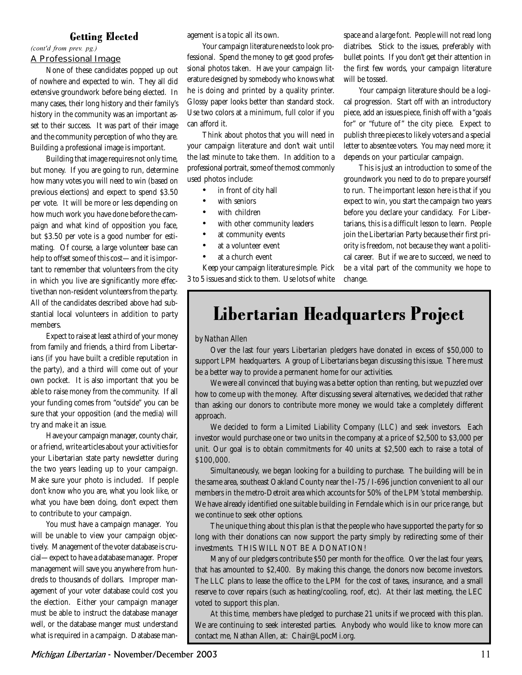#### Getting Elected

(*cont'd from prev. pg.)* 

#### A Professional Image

None of these candidates popped up out of nowhere and expected to win. They all did extensive groundwork before being elected. In many cases, their long history and their family's history in the community was an important asset to their success. It was part of their image and the community perception of who they are. Building a professional image is important.

Building that image requires not only time, but money. If you are going to run, determine how many votes you will need to win (based on previous elections) and expect to spend \$3.50 per vote. It will be more or less depending on how much work you have done before the campaign and what kind of opposition you face, but \$3.50 per vote is a good number for estimating. Of course, a large volunteer base can help to offset some of this cost—and it is important to remember that volunteers from the city in which you live are significantly more effective than non-resident volunteers from the party. All of the candidates described above had substantial local volunteers in addition to party members.

Expect to raise at least a third of your money from family and friends, a third from Libertarians (if you have built a credible reputation in the party), and a third will come out of your own pocket. It is also important that you be able to raise money from the community. If all your funding comes from "outside" you can be sure that your opposition (and the media) will try and make it an issue.

Have your campaign manager, county chair, or a friend, write articles about your activities for your Libertarian state party newsletter during the two years leading up to your campaign. Make sure your photo is included. If people don't know who you are, what you look like, or what you have been doing, don't expect them to contribute to your campaign.

You must have a campaign manager. You will be unable to view your campaign objectively. Management of the voter database is crucial—expect to have a database manager. Proper management will save you anywhere from hundreds to thousands of dollars. Improper management of your voter database could cost you the election. Either your campaign manager must be able to instruct the database manager well, or the database manger must understand what is required in a campaign. Database management is a topic all its own.

Your campaign literature needs to look professional. Spend the money to get good professional photos taken. Have your campaign literature designed by somebody who knows what he is doing and printed by a quality printer. Glossy paper looks better than standard stock. Use two colors at a minimum, full color if you can afford it.

Think about photos that you will need in your campaign literature and don't wait until the last minute to take them. In addition to a professional portrait, some of the most commonly used photos include:

- in front of city hall
- with seniors
- with children
- with other community leaders
- at community events
- at a volunteer event
- at a church event

Keep your campaign literature simple. Pick 3 to 5 issues and stick to them. Use lots of white space and a large font. People will not read long diatribes. Stick to the issues, preferably with bullet points. If you don't get their attention in the first few words, your campaign literature will be tossed.

Your campaign literature should be a logical progression. Start off with an introductory piece, add an issues piece, finish off with a "goals for" or "future of" the city piece. Expect to publish three pieces to likely voters and a special letter to absentee voters. You may need more; it depends on your particular campaign.

This is just an introduction to some of the groundwork you need to do to prepare yourself to run. The important lesson here is that if you expect to win, you start the campaign two years before you declare your candidacy. For Libertarians, this is a difficult lesson to learn. People join the Libertarian Party because their first priority is freedom, not because they want a political career. But if we are to succeed, we need to be a vital part of the community we hope to change.

### Libertarian Headquarters Project

#### by Nathan Allen

Over the last four years Libertarian pledgers have donated in excess of \$50,000 to support LPM headquarters. A group of Libertarians began discussing this issue. There must be a better way to provide a permanent home for our activities.

We were all convinced that buying was a better option than renting, but we puzzled over how to come up with the money. After discussing several alternatives, we decided that rather than asking our donors to contribute more money we would take a completely different approach.

We decided to form a Limited Liability Company (LLC) and seek investors. Each investor would purchase one or two units in the company at a price of \$2,500 to \$3,000 per unit. Our goal is to obtain commitments for 40 units at \$2,500 each to raise a total of \$100,000.

Simultaneously, we began looking for a building to purchase. The building will be in the same area, southeast Oakland County near the I-75 / I-696 junction convenient to all our members in the metro-Detroit area which accounts for 50% of the LPM's total membership. We have already identified one suitable building in Ferndale which is in our price range, but we continue to seek other options.

The unique thing about this plan is that the people who have supported the party for so long with their donations can now support the party simply by redirecting some of their investments. THIS WILL NOT BE A DONATION!

Many of our pledgers contribute \$50 per month for the office. Over the last four years, that has amounted to \$2,400. By making this change, the donors now become investors. The LLC plans to lease the office to the LPM for the cost of taxes, insurance, and a small reserve to cover repairs (such as heating/cooling, roof, etc). At their last meeting, the LEC voted to support this plan.

At this time, members have pledged to purchase 21 units if we proceed with this plan. We are continuing to seek interested parties. Anybody who would like to know more can contact me, Nathan Allen, at: Chair@LpocMi.org.